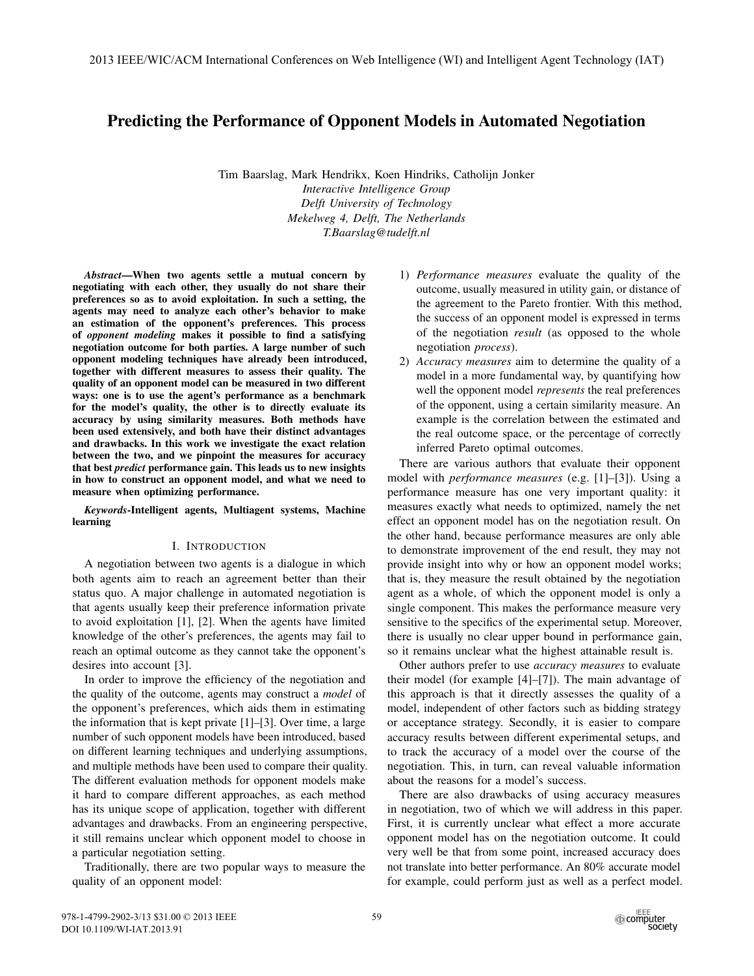# Predicting the Performance of Opponent Models in Automated Negotiation

Tim Baarslag, Mark Hendrikx, Koen Hindriks, Catholijn Jonker *Interactive Intelligence Group Delft University of Technology Mekelweg 4, Delft, The Netherlands T.Baarslag@tudelft.nl*

*Abstract*—When two agents settle a mutual concern by negotiating with each other, they usually do not share their preferences so as to avoid exploitation. In such a setting, the agents may need to analyze each other's behavior to make an estimation of the opponent's preferences. This process of *opponent modeling* makes it possible to find a satisfying negotiation outcome for both parties. A large number of such opponent modeling techniques have already been introduced, together with different measures to assess their quality. The quality of an opponent model can be measured in two different ways: one is to use the agent's performance as a benchmark for the model's quality, the other is to directly evaluate its accuracy by using similarity measures. Both methods have been used extensively, and both have their distinct advantages and drawbacks. In this work we investigate the exact relation between the two, and we pinpoint the measures for accuracy that best *predict* performance gain. This leads us to new insights in how to construct an opponent model, and what we need to measure when optimizing performance.

*Keywords*-Intelligent agents, Multiagent systems, Machine learning

### I. INTRODUCTION

A negotiation between two agents is a dialogue in which both agents aim to reach an agreement better than their status quo. A major challenge in automated negotiation is that agents usually keep their preference information private to avoid exploitation [1], [2]. When the agents have limited knowledge of the other's preferences, the agents may fail to reach an optimal outcome as they cannot take the opponent's desires into account [3].

In order to improve the efficiency of the negotiation and the quality of the outcome, agents may construct a *model* of the opponent's preferences, which aids them in estimating the information that is kept private [1]–[3]. Over time, a large number of such opponent models have been introduced, based on different learning techniques and underlying assumptions, and multiple methods have been used to compare their quality. The different evaluation methods for opponent models make it hard to compare different approaches, as each method has its unique scope of application, together with different advantages and drawbacks. From an engineering perspective, it still remains unclear which opponent model to choose in a particular negotiation setting.

Traditionally, there are two popular ways to measure the quality of an opponent model:

- 1) *Performance measures* evaluate the quality of the outcome, usually measured in utility gain, or distance of the agreement to the Pareto frontier. With this method, the success of an opponent model is expressed in terms of the negotiation *result* (as opposed to the whole negotiation *process*).
- 2) *Accuracy measures* aim to determine the quality of a model in a more fundamental way, by quantifying how well the opponent model *represents* the real preferences of the opponent, using a certain similarity measure. An example is the correlation between the estimated and the real outcome space, or the percentage of correctly inferred Pareto optimal outcomes.

There are various authors that evaluate their opponent model with *performance measures* (e.g. [1]–[3]). Using a performance measure has one very important quality: it measures exactly what needs to optimized, namely the net effect an opponent model has on the negotiation result. On the other hand, because performance measures are only able to demonstrate improvement of the end result, they may not provide insight into why or how an opponent model works; that is, they measure the result obtained by the negotiation agent as a whole, of which the opponent model is only a single component. This makes the performance measure very sensitive to the specifics of the experimental setup. Moreover, there is usually no clear upper bound in performance gain, so it remains unclear what the highest attainable result is.

Other authors prefer to use *accuracy measures* to evaluate their model (for example [4]–[7]). The main advantage of this approach is that it directly assesses the quality of a model, independent of other factors such as bidding strategy or acceptance strategy. Secondly, it is easier to compare accuracy results between different experimental setups, and to track the accuracy of a model over the course of the negotiation. This, in turn, can reveal valuable information about the reasons for a model's success.

There are also drawbacks of using accuracy measures in negotiation, two of which we will address in this paper. First, it is currently unclear what effect a more accurate opponent model has on the negotiation outcome. It could very well be that from some point, increased accuracy does not translate into better performance. An 80% accurate model for example, could perform just as well as a perfect model.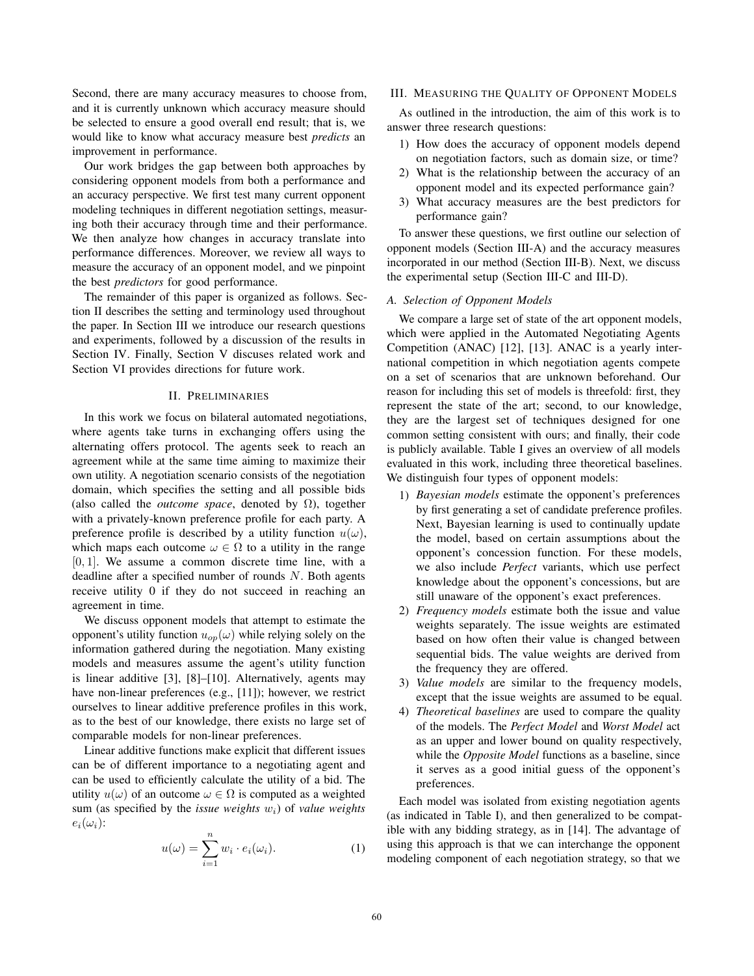Second, there are many accuracy measures to choose from, and it is currently unknown which accuracy measure should be selected to ensure a good overall end result; that is, we would like to know what accuracy measure best *predicts* an improvement in performance.

Our work bridges the gap between both approaches by considering opponent models from both a performance and an accuracy perspective. We first test many current opponent modeling techniques in different negotiation settings, measuring both their accuracy through time and their performance. We then analyze how changes in accuracy translate into performance differences. Moreover, we review all ways to measure the accuracy of an opponent model, and we pinpoint the best *predictors* for good performance.

The remainder of this paper is organized as follows. Section II describes the setting and terminology used throughout the paper. In Section III we introduce our research questions and experiments, followed by a discussion of the results in Section IV. Finally, Section V discuses related work and Section VI provides directions for future work.

### II. PRELIMINARIES

In this work we focus on bilateral automated negotiations, where agents take turns in exchanging offers using the alternating offers protocol. The agents seek to reach an agreement while at the same time aiming to maximize their own utility. A negotiation scenario consists of the negotiation domain, which specifies the setting and all possible bids (also called the *outcome space*, denoted by Ω), together with a privately-known preference profile for each party. A preference profile is described by a utility function  $u(\omega)$ , which maps each outcome  $\omega \in \Omega$  to a utility in the range  $[0, 1]$ . We assume a common discrete time line, with a deadline after a specified number of rounds N. Both agents receive utility 0 if they do not succeed in reaching an agreement in time.

We discuss opponent models that attempt to estimate the opponent's utility function  $u_{op}(\omega)$  while relying solely on the information gathered during the negotiation. Many existing models and measures assume the agent's utility function is linear additive [3], [8]–[10]. Alternatively, agents may have non-linear preferences (e.g., [11]); however, we restrict ourselves to linear additive preference profiles in this work, as to the best of our knowledge, there exists no large set of comparable models for non-linear preferences.

Linear additive functions make explicit that different issues can be of different importance to a negotiating agent and can be used to efficiently calculate the utility of a bid. The utility  $u(\omega)$  of an outcome  $\omega \in \Omega$  is computed as a weighted sum (as specified by the *issue weights* wi) of *value weights*  $e_i(\omega_i)$ :

$$
u(\omega) = \sum_{i=1}^{n} w_i \cdot e_i(\omega_i). \tag{1}
$$

### III. MEASURING THE QUALITY OF OPPONENT MODELS

As outlined in the introduction, the aim of this work is to answer three research questions:

- 1) How does the accuracy of opponent models depend on negotiation factors, such as domain size, or time?
- 2) What is the relationship between the accuracy of an opponent model and its expected performance gain?
- 3) What accuracy measures are the best predictors for performance gain?

To answer these questions, we first outline our selection of opponent models (Section III-A) and the accuracy measures incorporated in our method (Section III-B). Next, we discuss the experimental setup (Section III-C and III-D).

# *A. Selection of Opponent Models*

We compare a large set of state of the art opponent models, which were applied in the Automated Negotiating Agents Competition (ANAC) [12], [13]. ANAC is a yearly international competition in which negotiation agents compete on a set of scenarios that are unknown beforehand. Our reason for including this set of models is threefold: first, they represent the state of the art; second, to our knowledge, they are the largest set of techniques designed for one common setting consistent with ours; and finally, their code is publicly available. Table I gives an overview of all models evaluated in this work, including three theoretical baselines. We distinguish four types of opponent models:

- 1) *Bayesian models* estimate the opponent's preferences by first generating a set of candidate preference profiles. Next, Bayesian learning is used to continually update the model, based on certain assumptions about the opponent's concession function. For these models, we also include *Perfect* variants, which use perfect knowledge about the opponent's concessions, but are still unaware of the opponent's exact preferences.
- 2) *Frequency models* estimate both the issue and value weights separately. The issue weights are estimated based on how often their value is changed between sequential bids. The value weights are derived from the frequency they are offered.
- 3) *Value models* are similar to the frequency models, except that the issue weights are assumed to be equal.
- 4) *Theoretical baselines* are used to compare the quality of the models. The *Perfect Model* and *Worst Model* act as an upper and lower bound on quality respectively, while the *Opposite Model* functions as a baseline, since it serves as a good initial guess of the opponent's preferences.

Each model was isolated from existing negotiation agents (as indicated in Table I), and then generalized to be compatible with any bidding strategy, as in [14]. The advantage of using this approach is that we can interchange the opponent modeling component of each negotiation strategy, so that we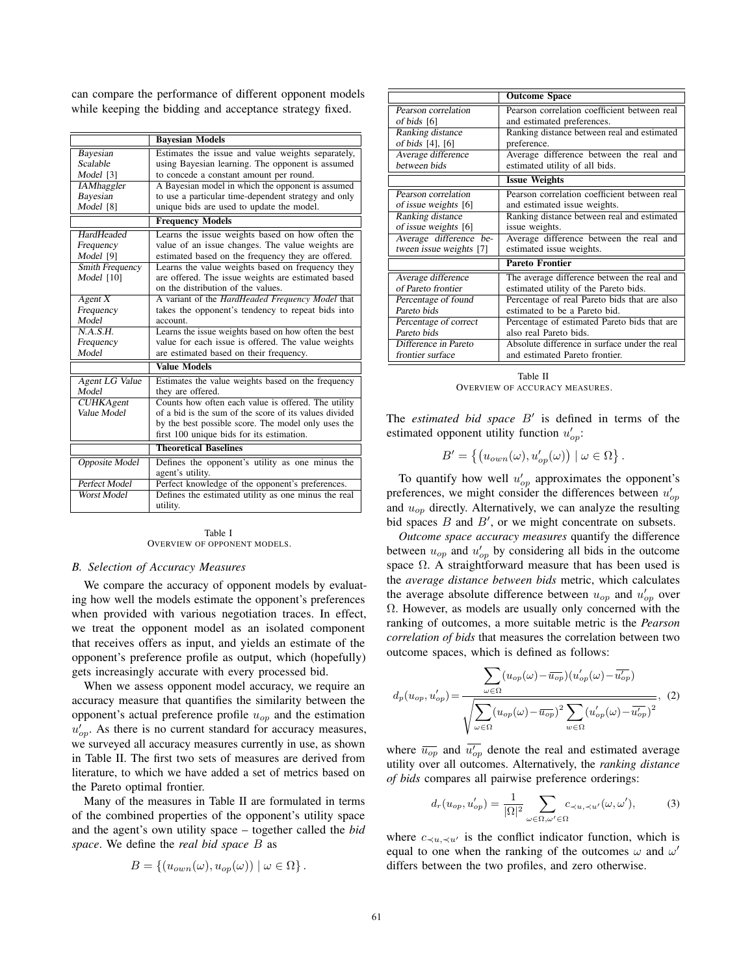can compare the performance of different opponent models while keeping the bidding and acceptance strategy fixed.

|                              | <b>Bayesian Models</b>                                 |  |
|------------------------------|--------------------------------------------------------|--|
| Bayesian                     | Estimates the issue and value weights separately,      |  |
| Scalable                     | using Bayesian learning. The opponent is assumed       |  |
| Model [3]                    | to concede a constant amount per round.                |  |
| <b>IAMhaggler</b>            | A Bayesian model in which the opponent is assumed      |  |
| Bayesian                     | to use a particular time-dependent strategy and only   |  |
| Model [8]                    | unique bids are used to update the model.              |  |
| <b>Frequency Models</b>      |                                                        |  |
| <b>HardHeaded</b>            | Learns the issue weights based on how often the        |  |
| Frequency                    | value of an issue changes. The value weights are       |  |
| Model [9]                    | estimated based on the frequency they are offered.     |  |
| <b>Smith Frequency</b>       | Learns the value weights based on frequency they       |  |
| Model [10]                   | are offered. The issue weights are estimated based     |  |
|                              | on the distribution of the values.                     |  |
| $A$ gent $X$                 | A variant of the HardHeaded Frequency Model that       |  |
| Frequency                    | takes the opponent's tendency to repeat bids into      |  |
| Model                        | account.                                               |  |
| N.A.S.H.                     | Learns the issue weights based on how often the best   |  |
| Frequency                    | value for each issue is offered. The value weights     |  |
| Model                        | are estimated based on their frequency.                |  |
| <b>Value Models</b>          |                                                        |  |
| <b>Agent LG Value</b>        | Estimates the value weights based on the frequency     |  |
| Model                        | they are offered.                                      |  |
| <b>CUHKAgent</b>             | Counts how often each value is offered. The utility    |  |
| Value Model                  | of a bid is the sum of the score of its values divided |  |
|                              | by the best possible score. The model only uses the    |  |
|                              | first 100 unique bids for its estimation.              |  |
| <b>Theoretical Baselines</b> |                                                        |  |
| Opposite Model               | Defines the opponent's utility as one minus the        |  |
|                              | agent's utility.                                       |  |
| Perfect Model                | Perfect knowledge of the opponent's preferences.       |  |
| <b>Worst Model</b>           | Defines the estimated utility as one minus the real    |  |
|                              | utility.                                               |  |

Table I OVERVIEW OF OPPONENT MODELS.

# *B. Selection of Accuracy Measures*

We compare the accuracy of opponent models by evaluating how well the models estimate the opponent's preferences when provided with various negotiation traces. In effect, we treat the opponent model as an isolated component that receives offers as input, and yields an estimate of the opponent's preference profile as output, which (hopefully) gets increasingly accurate with every processed bid.

When we assess opponent model accuracy, we require an accuracy measure that quantifies the similarity between the opponent's actual preference profile  $u_{op}$  and the estimation  $u'_{op}$ . As there is no current standard for accuracy measures, we surveyed all accuracy measures currently in use, as shown in Table II. The first two sets of measures are derived from literature, to which we have added a set of metrics based on the Pareto optimal frontier.

Many of the measures in Table II are formulated in terms of the combined properties of the opponent's utility space and the agent's own utility space – together called the *bid space*. We define the *real bid space* B as

$$
B = \{(u_{own}(\omega), u_{op}(\omega)) \mid \omega \in \Omega\}.
$$

|                         | <b>Outcome Space</b>                          |
|-------------------------|-----------------------------------------------|
| Pearson correlation     | Pearson correlation coefficient between real  |
| of bids [6]             | and estimated preferences.                    |
| Ranking distance        | Ranking distance between real and estimated   |
| of bids $[4]$ , $[6]$   | preference.                                   |
| Average difference      | Average difference between the real and       |
| between bids            | estimated utility of all bids.                |
|                         | <b>Issue Weights</b>                          |
| Pearson correlation     | Pearson correlation coefficient between real  |
| of issue weights [6]    | and estimated issue weights.                  |
| Ranking distance        | Ranking distance between real and estimated   |
| of issue weights [6]    | issue weights.                                |
| Average difference be-  | Average difference between the real and       |
| tween issue weights [7] | estimated issue weights.                      |
|                         | <b>Pareto Frontier</b>                        |
| Average difference      | The average difference between the real and   |
| of Pareto frontier      | estimated utility of the Pareto bids.         |
| Percentage of found     | Percentage of real Pareto bids that are also  |
| Pareto bids             | estimated to be a Pareto bid.                 |
| Percentage of correct   | Percentage of estimated Pareto bids that are  |
| Pareto bids             | also real Pareto bids.                        |
| Difference in Pareto    | Absolute difference in surface under the real |
| frontier surface        | and estimated Pareto frontier.                |

Table II OVERVIEW OF ACCURACY MEASURES.

The *estimated bid space*  $B'$  is defined in terms of the estimated opponent utility function  $u'_{op}$ :

$$
B' = \{ (u_{own}(\omega), u'_{op}(\omega)) \mid \omega \in \Omega \}.
$$

To quantify how well  $u'_{op}$  approximates the opponent's preferences, we might consider the differences between  $u'_{op}$ and  $u_{op}$  directly. Alternatively, we can analyze the resulting bid spaces  $B$  and  $B'$ , or we might concentrate on subsets.

*Outcome space accuracy measures* quantify the difference between  $u_{op}$  and  $u'_{op}$  by considering all bids in the outcome space  $\Omega$ . A straightforward measure that has been used is the *average distance between bids* metric, which calculates the average absolute difference between  $u_{op}$  and  $u'_{op}$  over Ω. However, as models are usually only concerned with the ranking of outcomes, a more suitable metric is the *Pearson correlation of bids* that measures the correlation between two outcome spaces, which is defined as follows:

$$
d_p(u_{op}, u'_{op}) = \frac{\sum_{\omega \in \Omega} (u_{op}(\omega) - \overline{u_{op}}) (u'_{op}(\omega) - \overline{u'_{op}})}{\sqrt{\sum_{\omega \in \Omega} (u_{op}(\omega) - \overline{u_{op}})^2 \sum_{w \in \Omega} (u'_{op}(\omega) - \overline{u'_{op}})^2}}, \tag{2}
$$

where  $\overline{u_{op}}$  and  $\overline{u'_{op}}$  denote the real and estimated average utility over all outcomes. Alternatively, the *ranking distance of bids* compares all pairwise preference orderings:

$$
d_r(u_{op}, u'_{op}) = \frac{1}{|\Omega|^2} \sum_{\omega \in \Omega, \omega' \in \Omega} c_{\prec u, \prec u'}(\omega, \omega'), \tag{3}
$$

where  $c_{\prec u, \prec u'}$  is the conflict indicator function, which is equal to one when the ranking of the outcomes  $\omega$  and  $\omega'$ differs between the two profiles, and zero otherwise.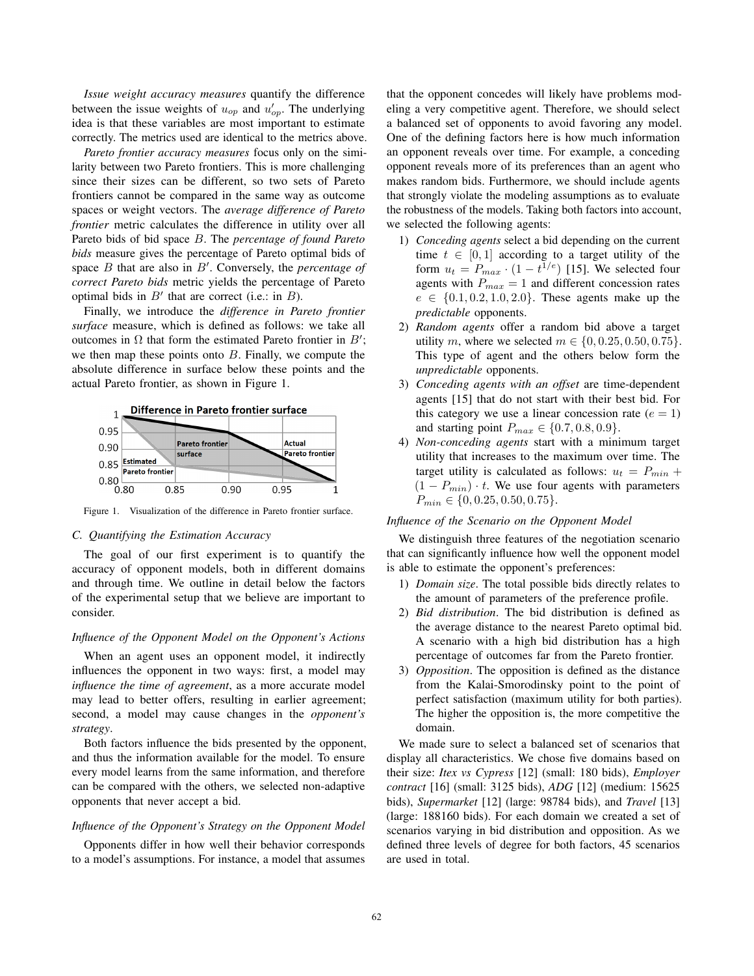*Issue weight accuracy measures* quantify the difference between the issue weights of  $u_{op}$  and  $u'_{op}$ . The underlying idea is that these variables are most important to estimate correctly. The metrics used are identical to the metrics above.

*Pareto frontier accuracy measures* focus only on the similarity between two Pareto frontiers. This is more challenging since their sizes can be different, so two sets of Pareto frontiers cannot be compared in the same way as outcome spaces or weight vectors. The *average difference of Pareto frontier* metric calculates the difference in utility over all Pareto bids of bid space B. The *percentage of found Pareto bids* measure gives the percentage of Pareto optimal bids of space *B* that are also in *B'*. Conversely, the *percentage of correct Pareto bids* metric yields the percentage of Pareto optimal bids in  $B'$  that are correct (i.e.: in  $B$ ).

Finally, we introduce the *difference in Pareto frontier surface* measure, which is defined as follows: we take all outcomes in  $\Omega$  that form the estimated Pareto frontier in  $B'$ ; we then map these points onto  $B$ . Finally, we compute the absolute difference in surface below these points and the actual Pareto frontier, as shown in Figure 1.



Figure 1. Visualization of the difference in Pareto frontier surface.

### *C. Quantifying the Estimation Accuracy*

The goal of our first experiment is to quantify the accuracy of opponent models, both in different domains and through time. We outline in detail below the factors of the experimental setup that we believe are important to consider.

# *Influence of the Opponent Model on the Opponent's Actions*

When an agent uses an opponent model, it indirectly influences the opponent in two ways: first, a model may *influence the time of agreement*, as a more accurate model may lead to better offers, resulting in earlier agreement; second, a model may cause changes in the *opponent's strategy*.

Both factors influence the bids presented by the opponent, and thus the information available for the model. To ensure every model learns from the same information, and therefore can be compared with the others, we selected non-adaptive opponents that never accept a bid.

### *Influence of the Opponent's Strategy on the Opponent Model*

Opponents differ in how well their behavior corresponds to a model's assumptions. For instance, a model that assumes that the opponent concedes will likely have problems modeling a very competitive agent. Therefore, we should select a balanced set of opponents to avoid favoring any model. One of the defining factors here is how much information an opponent reveals over time. For example, a conceding opponent reveals more of its preferences than an agent who makes random bids. Furthermore, we should include agents that strongly violate the modeling assumptions as to evaluate the robustness of the models. Taking both factors into account, we selected the following agents:

- 1) *Conceding agents* select a bid depending on the current time  $t \in [0, 1]$  according to a target utility of the form  $u_t = P_{max} \cdot (1 - t^{1/e})$  [15]. We selected four agents with  $P_{max} = 1$  and different concession rates  $e \in \{0.1, 0.2, 1.0, 2.0\}$ . These agents make up the *predictable* opponents.
- 2) *Random agents* offer a random bid above a target utility m, where we selected  $m \in \{0, 0.25, 0.50, 0.75\}.$ This type of agent and the others below form the *unpredictable* opponents.
- 3) *Conceding agents with an offset* are time-dependent agents [15] that do not start with their best bid. For this category we use a linear concession rate  $(e = 1)$ and starting point  $P_{max} \in \{0.7, 0.8, 0.9\}.$
- 4) *Non-conceding agents* start with a minimum target utility that increases to the maximum over time. The target utility is calculated as follows:  $u_t = P_{min} +$  $(1 - P_{min}) \cdot t$ . We use four agents with parameters  $P_{min} \in \{0, 0.25, 0.50, 0.75\}.$

# *Influence of the Scenario on the Opponent Model*

We distinguish three features of the negotiation scenario that can significantly influence how well the opponent model is able to estimate the opponent's preferences:

- 1) *Domain size*. The total possible bids directly relates to the amount of parameters of the preference profile.
- 2) *Bid distribution*. The bid distribution is defined as the average distance to the nearest Pareto optimal bid. A scenario with a high bid distribution has a high percentage of outcomes far from the Pareto frontier.
- 3) *Opposition*. The opposition is defined as the distance from the Kalai-Smorodinsky point to the point of perfect satisfaction (maximum utility for both parties). The higher the opposition is, the more competitive the domain.

We made sure to select a balanced set of scenarios that display all characteristics. We chose five domains based on their size: *Itex vs Cypress* [12] (small: 180 bids), *Employer contract* [16] (small: 3125 bids), *ADG* [12] (medium: 15625 bids), *Supermarket* [12] (large: 98784 bids), and *Travel* [13] (large: 188160 bids). For each domain we created a set of scenarios varying in bid distribution and opposition. As we defined three levels of degree for both factors, 45 scenarios are used in total.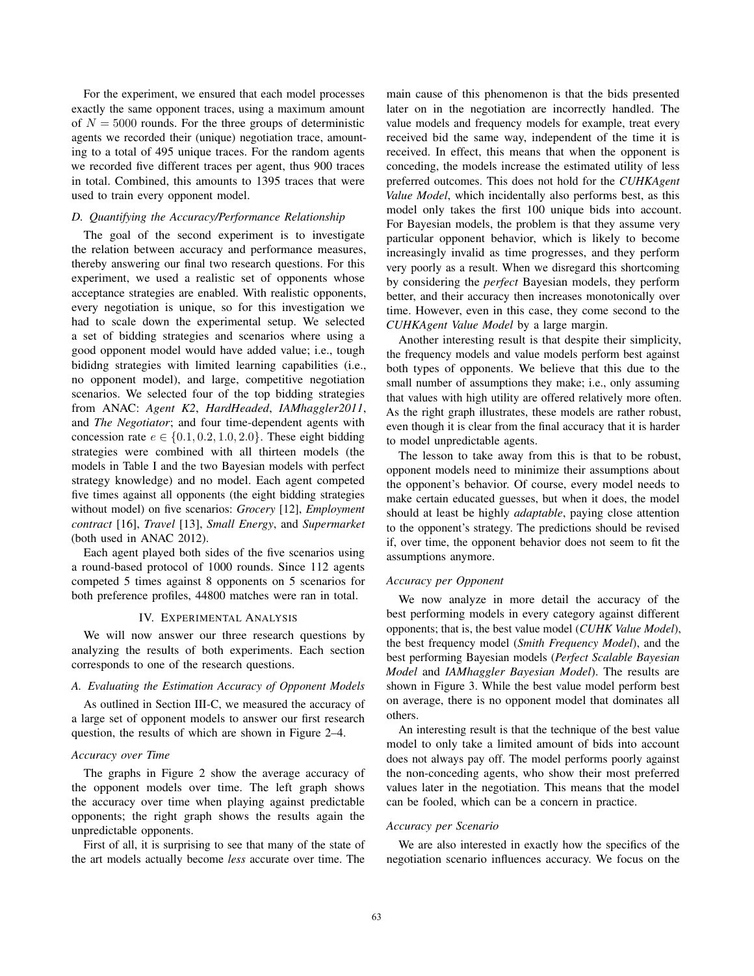For the experiment, we ensured that each model processes exactly the same opponent traces, using a maximum amount of  $N = 5000$  rounds. For the three groups of deterministic agents we recorded their (unique) negotiation trace, amounting to a total of 495 unique traces. For the random agents we recorded five different traces per agent, thus 900 traces in total. Combined, this amounts to 1395 traces that were used to train every opponent model.

# *D. Quantifying the Accuracy/Performance Relationship*

The goal of the second experiment is to investigate the relation between accuracy and performance measures, thereby answering our final two research questions. For this experiment, we used a realistic set of opponents whose acceptance strategies are enabled. With realistic opponents, every negotiation is unique, so for this investigation we had to scale down the experimental setup. We selected a set of bidding strategies and scenarios where using a good opponent model would have added value; i.e., tough bididng strategies with limited learning capabilities (i.e., no opponent model), and large, competitive negotiation scenarios. We selected four of the top bidding strategies from ANAC: *Agent K2*, *HardHeaded*, *IAMhaggler2011*, and *The Negotiator*; and four time-dependent agents with concession rate  $e \in \{0.1, 0.2, 1.0, 2.0\}$ . These eight bidding strategies were combined with all thirteen models (the models in Table I and the two Bayesian models with perfect strategy knowledge) and no model. Each agent competed five times against all opponents (the eight bidding strategies without model) on five scenarios: *Grocery* [12], *Employment contract* [16], *Travel* [13], *Small Energy*, and *Supermarket* (both used in ANAC 2012).

Each agent played both sides of the five scenarios using a round-based protocol of 1000 rounds. Since 112 agents competed 5 times against 8 opponents on 5 scenarios for both preference profiles, 44800 matches were ran in total.

#### IV. EXPERIMENTAL ANALYSIS

We will now answer our three research questions by analyzing the results of both experiments. Each section corresponds to one of the research questions.

### *A. Evaluating the Estimation Accuracy of Opponent Models*

As outlined in Section III-C, we measured the accuracy of a large set of opponent models to answer our first research question, the results of which are shown in Figure 2–4.

### *Accuracy over Time*

The graphs in Figure 2 show the average accuracy of the opponent models over time. The left graph shows the accuracy over time when playing against predictable opponents; the right graph shows the results again the unpredictable opponents.

First of all, it is surprising to see that many of the state of the art models actually become *less* accurate over time. The main cause of this phenomenon is that the bids presented later on in the negotiation are incorrectly handled. The value models and frequency models for example, treat every received bid the same way, independent of the time it is received. In effect, this means that when the opponent is conceding, the models increase the estimated utility of less preferred outcomes. This does not hold for the *CUHKAgent Value Model*, which incidentally also performs best, as this model only takes the first 100 unique bids into account. For Bayesian models, the problem is that they assume very particular opponent behavior, which is likely to become increasingly invalid as time progresses, and they perform very poorly as a result. When we disregard this shortcoming by considering the *perfect* Bayesian models, they perform better, and their accuracy then increases monotonically over time. However, even in this case, they come second to the *CUHKAgent Value Model* by a large margin.

Another interesting result is that despite their simplicity, the frequency models and value models perform best against both types of opponents. We believe that this due to the small number of assumptions they make; i.e., only assuming that values with high utility are offered relatively more often. As the right graph illustrates, these models are rather robust, even though it is clear from the final accuracy that it is harder to model unpredictable agents.

The lesson to take away from this is that to be robust, opponent models need to minimize their assumptions about the opponent's behavior. Of course, every model needs to make certain educated guesses, but when it does, the model should at least be highly *adaptable*, paying close attention to the opponent's strategy. The predictions should be revised if, over time, the opponent behavior does not seem to fit the assumptions anymore.

# *Accuracy per Opponent*

We now analyze in more detail the accuracy of the best performing models in every category against different opponents; that is, the best value model (*CUHK Value Model*), the best frequency model (*Smith Frequency Model*), and the best performing Bayesian models (*Perfect Scalable Bayesian Model* and *IAMhaggler Bayesian Model*). The results are shown in Figure 3. While the best value model perform best on average, there is no opponent model that dominates all others.

An interesting result is that the technique of the best value model to only take a limited amount of bids into account does not always pay off. The model performs poorly against the non-conceding agents, who show their most preferred values later in the negotiation. This means that the model can be fooled, which can be a concern in practice.

# *Accuracy per Scenario*

We are also interested in exactly how the specifics of the negotiation scenario influences accuracy. We focus on the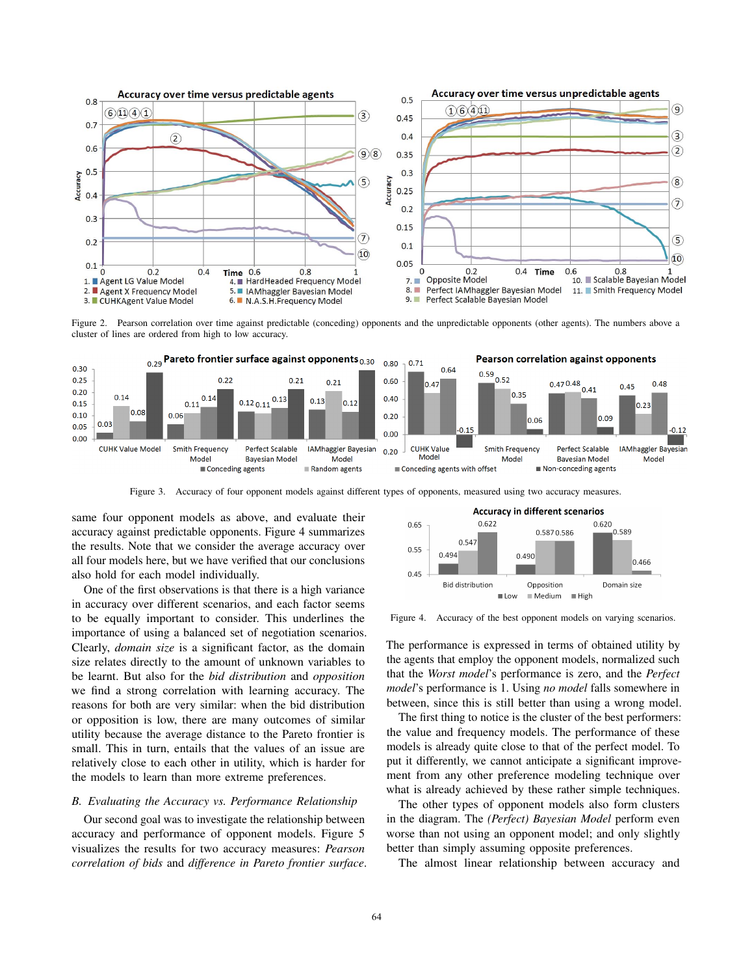

Figure 2. Pearson correlation over time against predictable (conceding) opponents and the unpredictable opponents (other agents). The numbers above a cluster of lines are ordered from high to low accuracy.



Figure 3. Accuracy of four opponent models against different types of opponents, measured using two accuracy measures.

same four opponent models as above, and evaluate their accuracy against predictable opponents. Figure 4 summarizes the results. Note that we consider the average accuracy over all four models here, but we have verified that our conclusions also hold for each model individually.

One of the first observations is that there is a high variance in accuracy over different scenarios, and each factor seems to be equally important to consider. This underlines the importance of using a balanced set of negotiation scenarios. Clearly, *domain size* is a significant factor, as the domain size relates directly to the amount of unknown variables to be learnt. But also for the *bid distribution* and *opposition* we find a strong correlation with learning accuracy. The reasons for both are very similar: when the bid distribution or opposition is low, there are many outcomes of similar utility because the average distance to the Pareto frontier is small. This in turn, entails that the values of an issue are relatively close to each other in utility, which is harder for the models to learn than more extreme preferences.

# *B. Evaluating the Accuracy vs. Performance Relationship*

Our second goal was to investigate the relationship between accuracy and performance of opponent models. Figure 5 visualizes the results for two accuracy measures: *Pearson correlation of bids* and *difference in Pareto frontier surface*.



Figure 4. Accuracy of the best opponent models on varying scenarios.

The performance is expressed in terms of obtained utility by the agents that employ the opponent models, normalized such that the *Worst model*'s performance is zero, and the *Perfect model*'s performance is 1. Using *no model* falls somewhere in between, since this is still better than using a wrong model.

The first thing to notice is the cluster of the best performers: the value and frequency models. The performance of these models is already quite close to that of the perfect model. To put it differently, we cannot anticipate a significant improvement from any other preference modeling technique over what is already achieved by these rather simple techniques.

The other types of opponent models also form clusters in the diagram. The *(Perfect) Bayesian Model* perform even worse than not using an opponent model; and only slightly better than simply assuming opposite preferences.

The almost linear relationship between accuracy and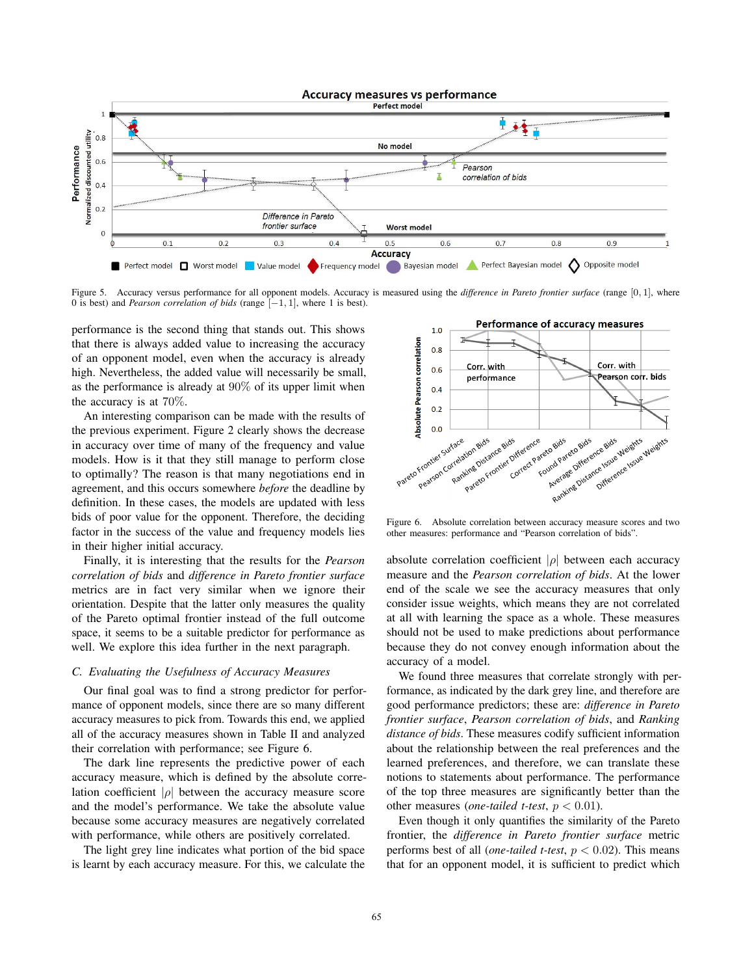

Figure 5. Accuracy versus performance for all opponent models. Accuracy is measured using the *difference in Pareto frontier surface* (range [0, 1], where 0 is best) and *Pearson correlation of bids* (range [−1, 1], where 1 is best).

performance is the second thing that stands out. This shows that there is always added value to increasing the accuracy of an opponent model, even when the accuracy is already high. Nevertheless, the added value will necessarily be small, as the performance is already at 90% of its upper limit when the accuracy is at 70%.

An interesting comparison can be made with the results of the previous experiment. Figure 2 clearly shows the decrease in accuracy over time of many of the frequency and value models. How is it that they still manage to perform close to optimally? The reason is that many negotiations end in agreement, and this occurs somewhere *before* the deadline by definition. In these cases, the models are updated with less bids of poor value for the opponent. Therefore, the deciding factor in the success of the value and frequency models lies in their higher initial accuracy.

Finally, it is interesting that the results for the *Pearson correlation of bids* and *difference in Pareto frontier surface* metrics are in fact very similar when we ignore their orientation. Despite that the latter only measures the quality of the Pareto optimal frontier instead of the full outcome space, it seems to be a suitable predictor for performance as well. We explore this idea further in the next paragraph.

# *C. Evaluating the Usefulness of Accuracy Measures*

Our final goal was to find a strong predictor for performance of opponent models, since there are so many different accuracy measures to pick from. Towards this end, we applied all of the accuracy measures shown in Table II and analyzed their correlation with performance; see Figure 6.

The dark line represents the predictive power of each accuracy measure, which is defined by the absolute correlation coefficient  $|\rho|$  between the accuracy measure score and the model's performance. We take the absolute value because some accuracy measures are negatively correlated with performance, while others are positively correlated.

The light grey line indicates what portion of the bid space is learnt by each accuracy measure. For this, we calculate the



Figure 6. Absolute correlation between accuracy measure scores and two other measures: performance and "Pearson correlation of bids".

absolute correlation coefficient  $|\rho|$  between each accuracy measure and the *Pearson correlation of bids*. At the lower end of the scale we see the accuracy measures that only consider issue weights, which means they are not correlated at all with learning the space as a whole. These measures should not be used to make predictions about performance because they do not convey enough information about the accuracy of a model.

We found three measures that correlate strongly with performance, as indicated by the dark grey line, and therefore are good performance predictors; these are: *difference in Pareto frontier surface*, *Pearson correlation of bids*, and *Ranking distance of bids*. These measures codify sufficient information about the relationship between the real preferences and the learned preferences, and therefore, we can translate these notions to statements about performance. The performance of the top three measures are significantly better than the other measures (*one-tailed t-test*,  $p < 0.01$ ).

Even though it only quantifies the similarity of the Pareto frontier, the *difference in Pareto frontier surface* metric performs best of all *(one-tailed t-test,*  $p < 0.02$ *)*. This means that for an opponent model, it is sufficient to predict which